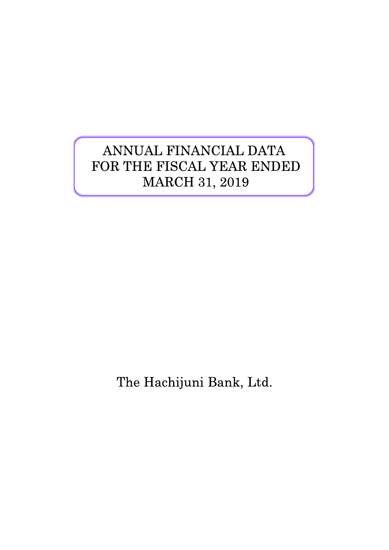# ANNUAL FINANCIAL DATA FOR THE FISCAL YEAR ENDED MARCH 31, 2019

The Hachijuni Bank, Ltd.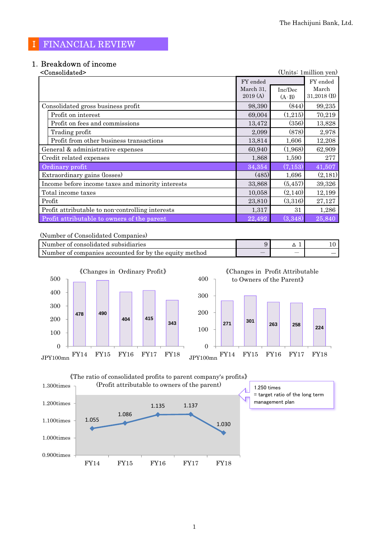## Ⅰ FINANCIAL REVIEW

# 1.Breakdown of income

| <consolidated></consolidated>                     |           |          | (Units: 1 million yen) |
|---------------------------------------------------|-----------|----------|------------------------|
|                                                   | FY ended  |          | FY ended               |
|                                                   | March 31, | Inc/Dec  | March                  |
|                                                   | 2019(A)   | $(A-B)$  | $31,2018$ (B)          |
| Consolidated gross business profit                | 98,390    | (844)    | 99,235                 |
| Profit on interest                                | 69,004    | (1,215)  | 70,219                 |
| Profit on fees and commissions                    | 13,472    | (356)    | 13,828                 |
| Trading profit                                    | 2,099     | (878)    | 2,978                  |
| Profit from other business transactions           | 13,814    | 1,606    | 12,208                 |
| General & administrative expenses                 | 60,940    | (1,968)  | 62,909                 |
| Credit related expenses                           | 1,868     | 1,590    | 277                    |
| Ordinary profit                                   | 34,354    | (7, 153) | 41,507                 |
| Extraordinary gains (losses)                      | (485)     | 1,696    | (2,181)                |
| Income before income taxes and minority interests | 33,868    | (5, 457) | 39,326                 |
| Total income taxes                                | 10,058    | (2,140)  | 12,199                 |
| Profit                                            | 23,810    | (3,316)  | 27,127                 |
| Profit attributable to non-controlling interests  | 1,317     | 31       | 1,286                  |
| Profit attributable to owners of the parent       | 22,492    | (3, 348) | 25,840                 |

(Number of Consolidated Companies)

| Number of consolidated subsidiaries                    |                          |                          |    |
|--------------------------------------------------------|--------------------------|--------------------------|----|
| Number of companies accounted for by the equity method | $\overline{\phantom{a}}$ | $\overline{\phantom{a}}$ | __ |



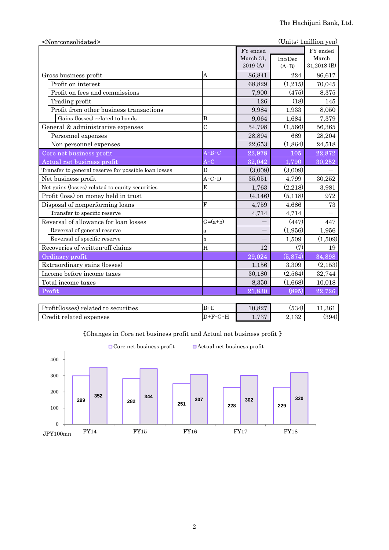| <non-consolidated></non-consolidated>                |                                            |           |         | (Units: 1million yen) |
|------------------------------------------------------|--------------------------------------------|-----------|---------|-----------------------|
|                                                      |                                            | FY ended  |         | FY ended              |
|                                                      |                                            | March 31, | Inc/Dec | March                 |
|                                                      |                                            | 2019 (A)  | $(A-B)$ | 31,2018 (B)           |
| Gross business profit                                | A                                          | 86,841    | 224     | 86,617                |
| Profit on interest                                   |                                            | 68,829    | (1,215) | 70,045                |
| Profit on fees and commissions                       |                                            | 7,900     | (475)   | 8,375                 |
| Trading profit                                       |                                            | 126       | (18)    | 145                   |
| Profit from other business transactions              |                                            | 9,984     | 1,933   | 8,050                 |
| Gains (losses) related to bonds                      | $\bf{B}$                                   | 9,064     | 1,684   | 7,379                 |
| General & administrative expenses                    | $\overline{C}$                             | 54,798    | (1,566) | 56,365                |
| Personnel expenses                                   |                                            | 28,894    | 689     | 28,204                |
| Non personnel expenses                               |                                            | 22,653    | (1,864) | 24,518                |
| Core net business profit                             | $\mathbf{A}$ - $\mathbf{B}$ - $\mathbf{C}$ | 22,978    | 105     | 22,872                |
| Actual net business profit                           | $A-C$                                      | 32,042    | 1,790   | 30,252                |
| Transfer to general reserve for possible loan losses | D                                          | (3,009)   | (3,009) |                       |
| Net business profit                                  | $A-C-D$                                    | 35,051    | 4,799   | 30,252                |
| Net gains (losses) related to equity securities      | E                                          | 1,763     | (2,218) | 3,981                 |
| Profit (loss) on money held in trust                 |                                            | (4, 146)  | (5,118) | 972                   |
| Disposal of nonperforming loans                      | $\overline{\mathrm{F}}$                    | 4,759     | 4,686   | 73                    |
| Transfer to specific reserve                         |                                            | 4,714     | 4,714   |                       |
| Reversal of allowance for loan losses                | $G=(a+b)$                                  |           | (447)   | 447                   |
| Reversal of general reserve                          | $\mathbf{a}$                               |           | (1,956) | 1,956                 |
| Reversal of specific reserve                         | $\mathbf b$                                |           | 1,509   | (1,509)               |
| Recoveries of written-off claims                     | H                                          | 12        | (7)     | 19                    |
| Ordinary profit                                      |                                            | 29,024    | (5,874) | 34,898                |
| Extraordinary gains (losses)                         |                                            | 1,156     | 3,309   | (2, 153)              |
| Income before income taxes                           |                                            | 30,180    | (2,564) | 32,744                |
| Total income taxes                                   |                                            | 8,350     | (1,668) | 10,018                |
| Profit                                               |                                            | 21,830    | (895)   | 22,726                |
|                                                      |                                            |           |         |                       |

| Profit(losses) related to securities | $B + E$ | 10.827       | (534)       | $1.361\,$ |
|--------------------------------------|---------|--------------|-------------|-----------|
| Credit related expenses              | $D+F$   | 797<br>1.10' | ാറ<br>4,104 | (394)     |



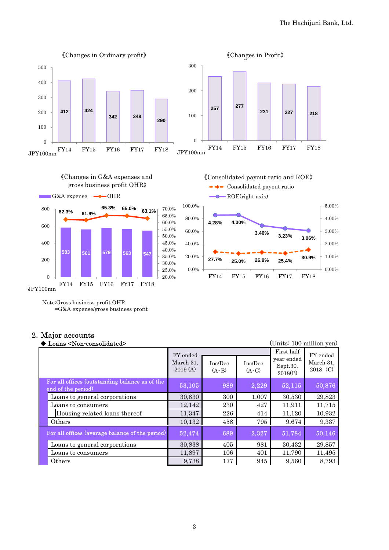

Note:Gross business profit OHR

=G&A expense/gross business profit

#### 2.Major accounts

| Loans <non-consolidated></non-consolidated>                          |                                  |                    |                    | (Units: 100 million yen)                        |                                     |
|----------------------------------------------------------------------|----------------------------------|--------------------|--------------------|-------------------------------------------------|-------------------------------------|
|                                                                      | FY ended<br>March 31,<br>2019(A) | Inc/Dec<br>$(A-B)$ | Inc/Dec<br>$(A-C)$ | First half<br>year ended<br>Sept.30,<br>2018(B) | FY ended<br>March 31,<br>$2018$ (C) |
| For all offices (outstanding balance as of the<br>end of the period) | 53,105                           | 989                | 2,229              | 52,115                                          | 50,876                              |
| Loans to general corporations                                        | 30,830                           | 300                | 1,007              | 30,530                                          | 29,823                              |
| Loans to consumers                                                   | 12,142                           | 230                | 427                | 11,911                                          | 11,715                              |
| Housing related loans thereof                                        | 11.347                           | 226                | 414                | 11.120                                          | 10,932                              |
| Others                                                               | 10,132                           | 458                | 795                | 9,674                                           | 9,337                               |
| For all offices (average balance of the period)                      | 52,474                           | 689                | 2,327              | 51,784                                          | 50,146                              |
| Loans to general corporations                                        | 30,838                           | 405                | 981                | 30,432                                          | 29,857                              |
| Loans to consumers                                                   | 11,897                           | 106                | 401                | 11,790                                          | 11,495                              |
| Others                                                               | 9,738                            | 177                | 945                | 9,560                                           | 8,793                               |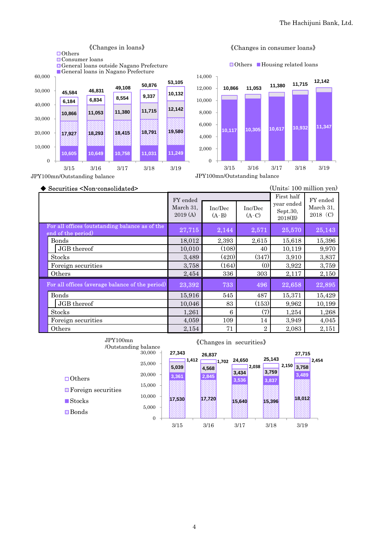

#### 《Changes in consumer loans》

**□Others** Housing related loans

**10,117 10,305 10,617 10,932 11,347 10,866 11,053 11,380 11,715 12,142**  3/15 3/16 3/17 3/18 3/19

JPY100mn/Outstanding balance

| Securities <non-consolidated></non-consolidated>                     |                                  |                    |                    |                                                 | (Units: 100 million yen)          |
|----------------------------------------------------------------------|----------------------------------|--------------------|--------------------|-------------------------------------------------|-----------------------------------|
|                                                                      | FY ended<br>March 31,<br>2019(A) | Inc/Dec<br>$(A-B)$ | Inc/Dec<br>$(A-C)$ | First half<br>year ended<br>Sept.30,<br>2018(B) | FY ended<br>March 31,<br>2018 (C) |
| For all offices (outstanding balance as of the<br>end of the period) | 27,715                           | 2,144              | 2,571              | 25,570                                          | 25,143                            |
| Bonds                                                                | 18,012                           | 2,393              | 2,615              | 15,618                                          | 15,396                            |
| JGB thereof                                                          | 10,010                           | (108)              | 40                 | 10,119                                          | 9,970                             |
| Stocks                                                               | 3,489                            | (420)              | (347)              | 3,910                                           | 3,837                             |
| Foreign securities                                                   | 3,758                            | (164)              | (0)                | 3,922                                           | 3,759                             |
| Others                                                               | 2,454                            | 336                | 303                | 2,117                                           | 2,150                             |
| For all offices (average balance of the period)                      | 23,392                           | 733                | 496                | 22,658                                          | 22,895                            |
| Bonds                                                                | 15,916                           | 545                | 487                | 15,371                                          | 15,429                            |
| JGB thereof                                                          | 10,046                           | 83                 | (153)              | 9,962                                           | 10,199                            |
| Stocks                                                               | 1,261                            | 6                  | (7)                | 1,254                                           | 1,268                             |
| Foreign securities                                                   | 4,059                            | 109                | 14                 | 3,949                                           | 4,045                             |
| Others                                                               | 2,154                            | 71                 | $\overline{2}$     | 2,083                                           | 2,151                             |

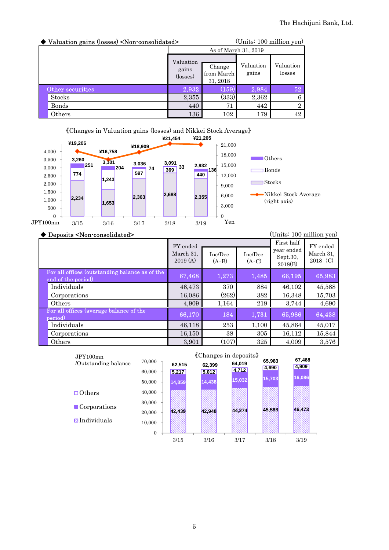| ◆ Valuation gains (losses) <non-consolidated></non-consolidated> |                                | (Units: 100 million yen)         |                      |                     |  |
|------------------------------------------------------------------|--------------------------------|----------------------------------|----------------------|---------------------|--|
|                                                                  |                                |                                  | As of March 31, 2019 |                     |  |
|                                                                  | Valuation<br>gains<br>(losses) | Change<br>from March<br>31, 2018 | Valuation<br>gains   | Valuation<br>losses |  |
| Other securities                                                 | 2,932                          | (159)                            | 2,984                | 52                  |  |
| Stocks                                                           | 2,355                          | (333)                            | 2,362                | 6                   |  |
| Bonds                                                            | 440                            | 71                               | 442                  | $\overline{2}$      |  |
| Others                                                           | 136                            | 102                              | 179                  | 42                  |  |



#### ◆ Deposits <Non-consolidated> (Units: 100 million yen)

|                                                                      | FY ended<br>March 31,<br>2019(A) | Inc/Dec<br>$(A-B)$ | Inc/Dec<br>$(A-C)$ | First half<br>year ended<br>Sept.30,<br>2018(B) | FY ended<br>March 31,<br>2018 (C) |
|----------------------------------------------------------------------|----------------------------------|--------------------|--------------------|-------------------------------------------------|-----------------------------------|
| For all offices (outstanding balance as of the<br>end of the period) | 67,468                           | 1,273              | 1,485              | 66,195                                          | 65,983                            |
| Individuals                                                          | 46,473                           | 370                | 884                | 46,102                                          | 45,588                            |
| Corporations                                                         | 16,086                           | (262)              | 382                | 16,348                                          | 15,703                            |
| Others                                                               | 4,909                            | 1,164              | 219                | 3,744                                           | 4,690                             |
| For all offices (average balance of the<br>period)                   | 66,170                           | 184                | 1,731              | 65,986                                          | 64,438                            |
| Individuals                                                          | 46,118                           | 253                | 1,100              | 45,864                                          | 45,017                            |
| Corporations                                                         | 16,150                           | 38                 | 305                | 16,112                                          | 15,844                            |
| Others                                                               | 3,901                            | (107)              | 325                | 4,009                                           | 3,576                             |

| JPY100mn                    |                |        | «Changes in deposits» | 67,468 |                 |        |
|-----------------------------|----------------|--------|-----------------------|--------|-----------------|--------|
| /Outstanding balance        | 70,000         | 62,515 | 62,399                | 64,019 | 65,983<br>4,690 | 4,909  |
|                             | 60,000         | 5,217  | 5,012                 | 4,712  | 15,703          | 16,086 |
|                             | 50,000         | 14,859 | 14,438                | 15,032 |                 |        |
| $\Box$ Others               | 40,000         |        |                       |        |                 |        |
| $\blacksquare$ Corporations | 30,000         |        |                       |        |                 |        |
|                             | 20,000         | 42,439 | 42,948                | 44,274 | 45.588          | 46,473 |
| <b>N</b> Individuals        | 10,000         |        |                       |        |                 |        |
|                             | $\overline{0}$ |        |                       |        |                 |        |
|                             |                | 3/15   | 3/16                  | 3/17   | 3/18            | 3/19   |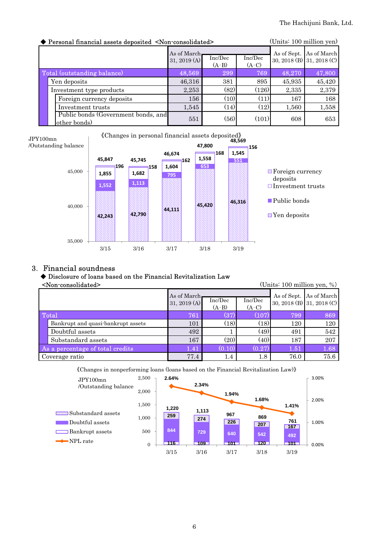| ◆ Personal financial assets deposited <non-consolidated></non-consolidated> |                |                    |                    |             | (Units: 100 million yen)  |  |
|-----------------------------------------------------------------------------|----------------|--------------------|--------------------|-------------|---------------------------|--|
|                                                                             | As of March.   |                    |                    | As of Sept. | As of March               |  |
|                                                                             | 31, 2019 $(A)$ | Inc/Dec<br>$(A-B)$ | Inc/Dec<br>$(A-C)$ |             | 30, 2018 (B) 31, 2018 (C) |  |
| Total (outstanding balance)                                                 | 48,569         | 299                | 769                | 48,270      | 47,800                    |  |
| Yen deposits                                                                | 46,316         | 381                | 895                | 45,935      | 45,420                    |  |
| Investment type products                                                    | 2,253          | (82)               | (126)              | 2,335       | 2,379                     |  |
| Foreign currency deposits                                                   | 156            | (10)               | (11)               | 167         | 168                       |  |
| Investment trusts                                                           | 1,545          | (14)               | (12)               | 1,560       | 1,558                     |  |
| Public bonds (Government bonds, and<br>other bonds)                         | 551            | (56)               | (101)              | 608         | 653                       |  |



#### 3. Financial soundness

#### ◆ Disclosure of loans based on the Financial Revitalization Law

| <non-consolidated></non-consolidated> |                                    |                                |                    |                      | (Units: 100 million yen, %) |                         |
|---------------------------------------|------------------------------------|--------------------------------|--------------------|----------------------|-----------------------------|-------------------------|
|                                       |                                    | As of March.<br>31, 2019 $(A)$ | Inc/Dec<br>$(A-B)$ | Inc/Dec<br>$(A-C)$   | 30, 2018 (B) 31, 2018 (C)   | As of Sept. As of March |
|                                       | Total                              | 761                            | (37)               | (107                 | 799                         | 869                     |
|                                       | Bankrupt and quasi-bankrupt assets | 101                            | (18)               | (18)                 | 120                         | 120                     |
|                                       | Doubtful assets                    | 492                            |                    | (49)                 | 491                         | 542                     |
|                                       | Substandard assets                 | 167                            | (20)               | (40)                 | 187                         | 207                     |
|                                       | As a percentage of total credits   | 1.41                           | (0.10)             | $\left( 0.27\right)$ | 1.51                        | 1.68                    |
|                                       | Coverage ratio                     | 77.4                           | $1.4\,$            | 1.8                  | 76.0                        | 75.6                    |

《Changes in nonperforming loans (loans based on the Financial Revitalization Law)》

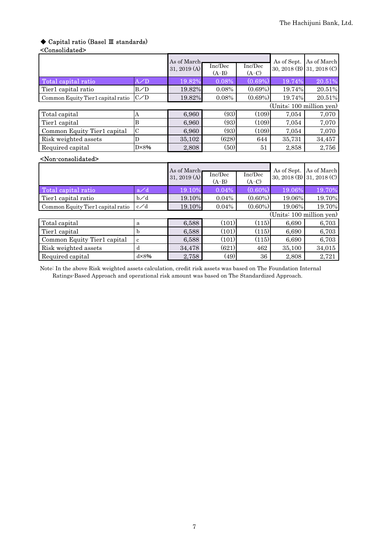# ◆ Capital ratio (Basel Ⅲ standards)

#### <Consolidated>

|                                       |                | As of March<br>31, 2019 (A) | Inc/Dec<br>$(A-B)$ | Inc/Dec<br>$(A-C)$ | As of Sept. | As of March<br>30, 2018 (B) 31, 2018 (C) |
|---------------------------------------|----------------|-----------------------------|--------------------|--------------------|-------------|------------------------------------------|
| Total capital ratio                   | A/D            | 19.82%                      | 0.08%              | $(0.69\%)$         | 19.74%      | 20.51%                                   |
| Tier1 capital ratio                   | B/D            | 19.82%                      | 0.08%              | $(0.69\%)$         | 19.74%      | 20.51%                                   |
| Common Equity Tier1 capital ratio     | C/D            | 19.82%                      | 0.08%              | $(0.69\%)$         | 19.74%      | 20.51%                                   |
|                                       |                |                             |                    |                    |             | (Units: 100 million yen)                 |
| Total capital                         | A              | 6,960                       | (93)               | (109)              | 7,054       | 7,070                                    |
| Tier1 capital                         | B              | 6,960                       | (93)               | (109)              | 7,054       | 7,070                                    |
| Common Equity Tier1 capital           | $\mathcal{C}$  | 6,960                       | (93)               | (109)              | 7,054       | 7,070                                    |
| Risk weighted assets                  | D              | 35,102                      | (628)              | 644                | 35,731      | 34,457                                   |
| Required capital                      | $D \times 8\%$ | 2,808                       | (50)               | 51                 | 2,858       | 2,756                                    |
| <non-consolidated></non-consolidated> |                |                             |                    |                    |             |                                          |
|                                       |                | As of March                 |                    |                    | As of Sept. | As of March                              |
|                                       |                | 31, 2019 (A)                | Inc/Dec<br>$(A-B)$ | Inc/Dec<br>$(A-C)$ |             | 30, 2018 (B) 31, 2018 (C)                |
| Total capital ratio                   | a/d            | 19.10%                      | 0.04%              | $(0.60\%)$         | 19.06%      | 19.70%                                   |
| Tier1 capital ratio                   | b⁄d            | 19.10%                      | 0.04%              | $(0.60\%)$         | 19.06%      | 19.70%                                   |
| Common Equity Tier1 capital ratio     | $c \angle d$   | 19.10%                      | 0.04%              | $(0.60\%)$         | 19.06%      | 19.70%                                   |
|                                       |                |                             |                    |                    |             | (Units: 100 million yen)                 |
| Total capital                         | a              | 6,588                       | (101)              | (115)              | 6,690       | 6,703                                    |
| Tier1 capital                         | $\mathbf b$    | 6,588                       | (101)              | (115)              | 6,690       | 6,703                                    |
| Common Equity Tier1 capital           | $\mathbf c$    | 6,588                       | (101)              | (115)              | 6,690       | 6,703                                    |

Note: In the above Risk weighted assets calculation, credit risk assets was based on The Foundation Internal Ratings-Based Approach and operational risk amount was based on The Standardized Approach.

Risk weighted assets d 34,478 (621) 462 35,100 34,01<br>Required capital d×8% 2,758 (49) 36 2,808 2,72 Required capital  $\begin{array}{|c|c|c|c|c|c|c|c|c|} \hline \end{array}$  d×8% 2,758 (49) 36 2,808 2